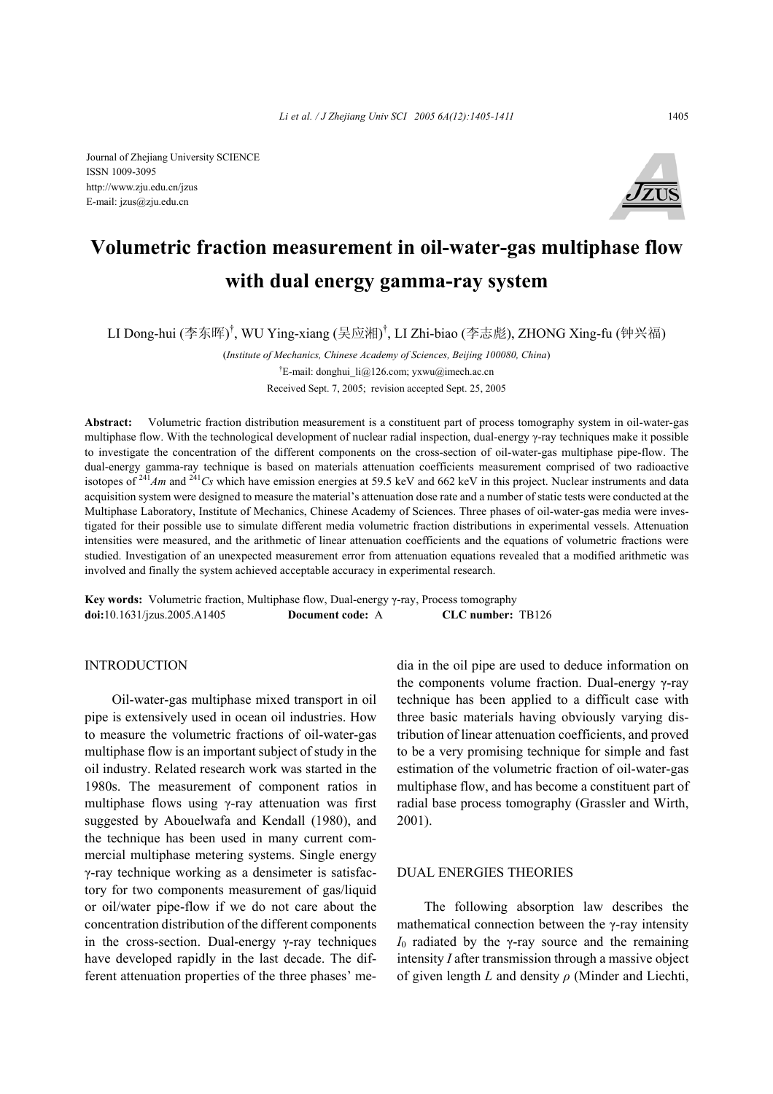Journal of Zhejiang University SCIENCE ISSN 1009-3095 http://www.zju.edu.cn/jzus E-mail: jzus@zju.edu.cn



# **Volumetric fraction measurement in oil-water-gas multiphase flow with dual energy gamma-ray system**

LI Dong-hui (李东晖)<sup>†</sup>, WU Ying-xiang (吴应湘)<sup>†</sup>, LI Zhi-biao (李志彪), ZHONG Xing-fu (钟兴福)

(*Institute of Mechanics, Chinese Academy of Sciences, Beijing 100080, China*) † E-mail: donghui\_li@126.com; yxwu@imech.ac.cn Received Sept. 7, 2005; revision accepted Sept. 25, 2005

**Abstract:** Volumetric fraction distribution measurement is a constituent part of process tomography system in oil-water-gas multiphase flow. With the technological development of nuclear radial inspection, dual-energy γ-ray techniques make it possible to investigate the concentration of the different components on the cross-section of oil-water-gas multiphase pipe-flow. The dual-energy gamma-ray technique is based on materials attenuation coefficients measurement comprised of two radioactive isotopes of <sup>241</sup>*Am* and <sup>241</sup>*Cs* which have emission energies at 59.5 keV and 662 keV in this project. Nuclear instruments and data acquisition system were designed to measure the material's attenuation dose rate and a number of static tests were conducted at the Multiphase Laboratory, Institute of Mechanics, Chinese Academy of Sciences. Three phases of oil-water-gas media were investigated for their possible use to simulate different media volumetric fraction distributions in experimental vessels. Attenuation intensities were measured, and the arithmetic of linear attenuation coefficients and the equations of volumetric fractions were studied. Investigation of an unexpected measurement error from attenuation equations revealed that a modified arithmetic was involved and finally the system achieved acceptable accuracy in experimental research.

**Key words:** Volumetric fraction, Multiphase flow, Dual-energy γ-ray, Process tomography **doi:**10.1631/jzus.2005.A1405 **Document code:** A **CLC number:** TB126

# INTRODUCTION

Oil-water-gas multiphase mixed transport in oil pipe is extensively used in ocean oil industries. How to measure the volumetric fractions of oil-water-gas multiphase flow is an important subject of study in the oil industry. Related research work was started in the 1980s. The measurement of component ratios in multiphase flows using γ-ray attenuation was first suggested by Abouelwafa and Kendall (1980), and the technique has been used in many current commercial multiphase metering systems. Single energy γ-ray technique working as a densimeter is satisfactory for two components measurement of gas/liquid or oil/water pipe-flow if we do not care about the concentration distribution of the different components in the cross-section. Dual-energy γ-ray techniques have developed rapidly in the last decade. The different attenuation properties of the three phases' media in the oil pipe are used to deduce information on the components volume fraction. Dual-energy γ-ray technique has been applied to a difficult case with three basic materials having obviously varying distribution of linear attenuation coefficients, and proved to be a very promising technique for simple and fast estimation of the volumetric fraction of oil-water-gas multiphase flow, and has become a constituent part of radial base process tomography (Grassler and Wirth, 2001).

## DUAL ENERGIES THEORIES

The following absorption law describes the mathematical connection between the  $\gamma$ -ray intensity  $I<sub>0</sub>$  radiated by the γ-ray source and the remaining intensity *I* after transmission through a massive object of given length *L* and density *ρ* (Minder and Liechti,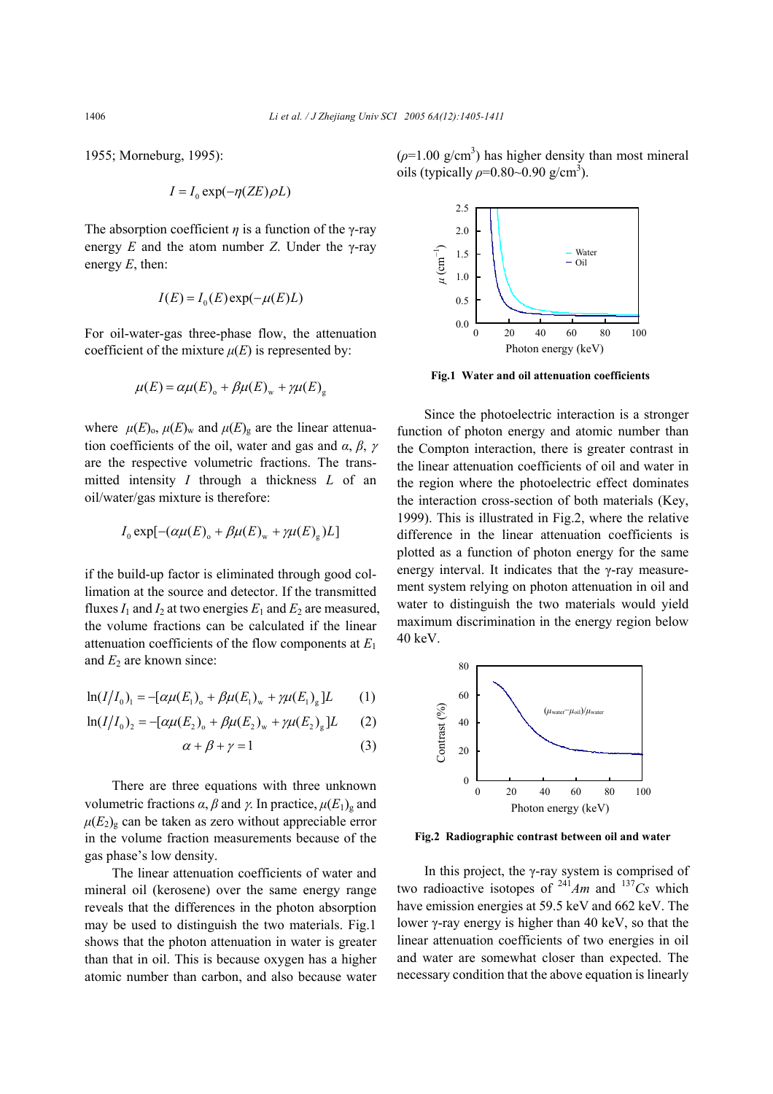1955; Morneburg, 1995):

$$
I = I_0 \exp(-\eta (ZE)\rho L)
$$

The absorption coefficient  $\eta$  is a function of the *γ*-ray energy  $E$  and the atom number  $Z$ . Under the  $\gamma$ -ray energy *E*, then:

$$
I(E) = I_0(E) \exp(-\mu(E)L)
$$

For oil-water-gas three-phase flow, the attenuation coefficient of the mixture  $\mu(E)$  is represented by:

$$
\mu(E) = \alpha \mu(E)_{o} + \beta \mu(E)_{w} + \gamma \mu(E)_{g}
$$

where  $\mu(E)_{\text{o}}$ ,  $\mu(E)_{\text{w}}$  and  $\mu(E)_{\text{g}}$  are the linear attenuation coefficients of the oil, water and gas and *α*, *β*, <sup>γ</sup> are the respective volumetric fractions. The transmitted intensity *I* through a thickness *L* of an oil/water/gas mixture is therefore:

$$
I_0 \exp[-(\alpha \mu(E)_0 + \beta \mu(E)_w + \gamma \mu(E)_g)L]
$$

if the build-up factor is eliminated through good collimation at the source and detector. If the transmitted fluxes  $I_1$  and  $I_2$  at two energies  $E_1$  and  $E_2$  are measured. the volume fractions can be calculated if the linear attenuation coefficients of the flow components at *E*<sup>1</sup> and  $E_2$  are known since:

$$
\ln(I/I_0) = -[\alpha\mu(E_1)_{\text{o}} + \beta\mu(E_1)_{\text{w}} + \gamma\mu(E_1)_{\text{g}}]L \qquad (1)
$$

$$
\ln(I/I_0)_2 = -[\alpha\mu(E_2)_0 + \beta\mu(E_2)_w + \gamma\mu(E_2)_g]L \qquad (2)
$$

$$
\alpha + \beta + \gamma = 1 \tag{3}
$$

There are three equations with three unknown volumetric fractions *α*, *β* and *γ*. In practice,  $\mu(E_1)$ <sub>g</sub> and  $\mu(E_2)_{\rm g}$  can be taken as zero without appreciable error in the volume fraction measurements because of the gas phase's low density.

The linear attenuation coefficients of water and mineral oil (kerosene) over the same energy range reveals that the differences in the photon absorption may be used to distinguish the two materials. Fig.1 shows that the photon attenuation in water is greater than that in oil. This is because oxygen has a higher atomic number than carbon, and also because water  $(\rho = 1.00 \text{ g/cm}^3)$  has higher density than most mineral oils (typically  $\rho$ =0.80~0.90 g/cm<sup>3</sup>).



**Fig.1 Water and oil attenuation coefficients** 

Since the photoelectric interaction is a stronger function of photon energy and atomic number than the Compton interaction, there is greater contrast in the linear attenuation coefficients of oil and water in the region where the photoelectric effect dominates the interaction cross-section of both materials (Key, 1999). This is illustrated in Fig.2, where the relative difference in the linear attenuation coefficients is plotted as a function of photon energy for the same energy interval. It indicates that the γ-ray measurement system relying on photon attenuation in oil and water to distinguish the two materials would yield maximum discrimination in the energy region below 40 keV.



**Fig.2 Radiographic contrast between oil and water**

In this project, the γ-ray system is comprised of two radioactive isotopes of  $^{241}Am$  and  $^{137}Cs$  which have emission energies at 59.5 keV and 662 keV. The lower γ-ray energy is higher than 40 keV, so that the linear attenuation coefficients of two energies in oil and water are somewhat closer than expected. The necessary condition that the above equation is linearly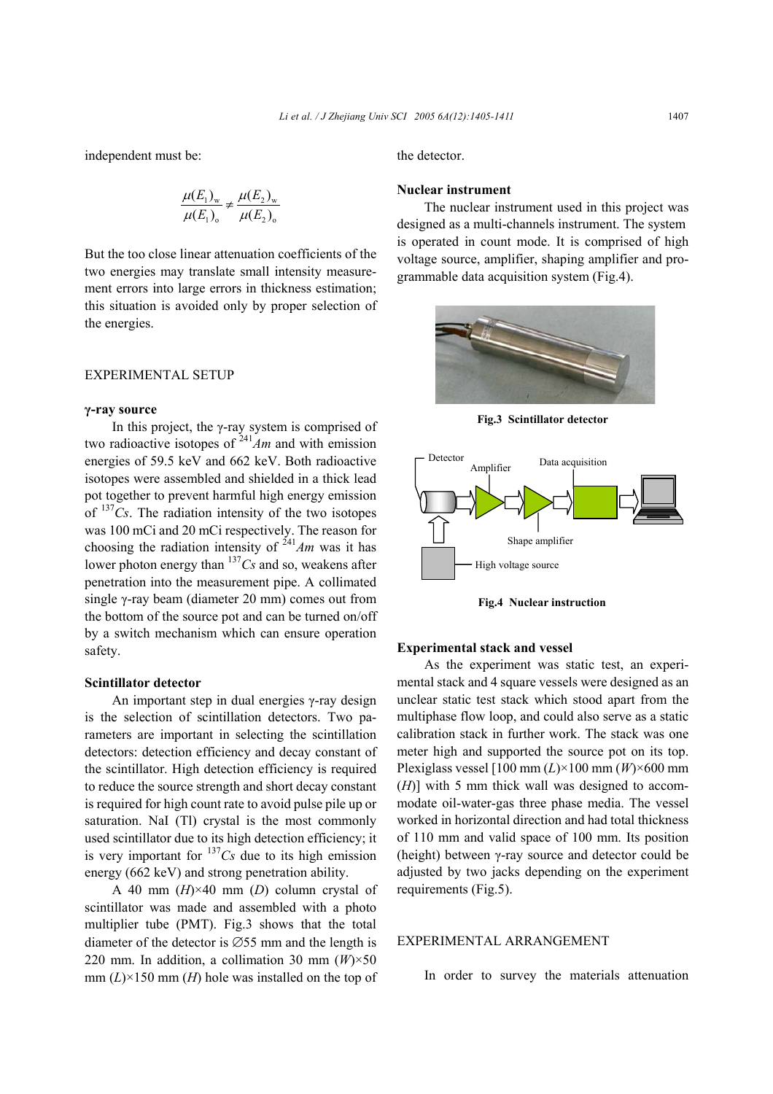independent must be:

$$
\frac{\mu(E_1)_w}{\mu(E_1)_o} \neq \frac{\mu(E_2)_w}{\mu(E_2)_o}
$$

But the too close linear attenuation coefficients of the two energies may translate small intensity measurement errors into large errors in thickness estimation; this situation is avoided only by proper selection of the energies.

## EXPERIMENTAL SETUP

#### **γ-ray source**

In this project, the  $\gamma$ -ray system is comprised of two radioactive isotopes of  $^{241}Am$  and with emission energies of 59.5 keV and 662 keV. Both radioactive isotopes were assembled and shielded in a thick lead pot together to prevent harmful high energy emission of <sup>137</sup>*Cs*. The radiation intensity of the two isotopes was 100 mCi and 20 mCi respectively. The reason for choosing the radiation intensity of  $\frac{241}{A}$ *m* was it has lower photon energy than 137*Cs* and so, weakens after penetration into the measurement pipe. A collimated single γ-ray beam (diameter 20 mm) comes out from the bottom of the source pot and can be turned on/off by a switch mechanism which can ensure operation safety.

## **Scintillator detector**

An important step in dual energies γ-ray design is the selection of scintillation detectors. Two parameters are important in selecting the scintillation detectors: detection efficiency and decay constant of the scintillator. High detection efficiency is required to reduce the source strength and short decay constant is required for high count rate to avoid pulse pile up or saturation. NaI (Tl) crystal is the most commonly used scintillator due to its high detection efficiency; it is very important for  $137Cs$  due to its high emission energy (662 keV) and strong penetration ability.

A 40 mm (*H*)×40 mm (*D*) column crystal of scintillator was made and assembled with a photo multiplier tube (PMT). Fig.3 shows that the total diameter of the detector is ∅55 mm and the length is 220 mm. In addition, a collimation 30 mm  $(W) \times 50$ mm  $(L) \times 150$  mm  $(H)$  hole was installed on the top of the detector.

## **Nuclear instrument**

The nuclear instrument used in this project was designed as a multi-channels instrument. The system is operated in count mode. It is comprised of high voltage source, amplifier, shaping amplifier and programmable data acquisition system (Fig.4).



**Fig.3 Scintillator detector**



**Fig.4 Nuclear instruction** 

## **Experimental stack and vessel**

As the experiment was static test, an experimental stack and 4 square vessels were designed as an unclear static test stack which stood apart from the multiphase flow loop, and could also serve as a static calibration stack in further work. The stack was one meter high and supported the source pot on its top. Plexiglass vessel [100 mm (*L*)×100 mm (*W*)×600 mm (*H*)] with 5 mm thick wall was designed to accommodate oil-water-gas three phase media. The vessel worked in horizontal direction and had total thickness of 110 mm and valid space of 100 mm. Its position (height) between γ-ray source and detector could be adjusted by two jacks depending on the experiment requirements (Fig.5).

#### EXPERIMENTAL ARRANGEMENT

In order to survey the materials attenuation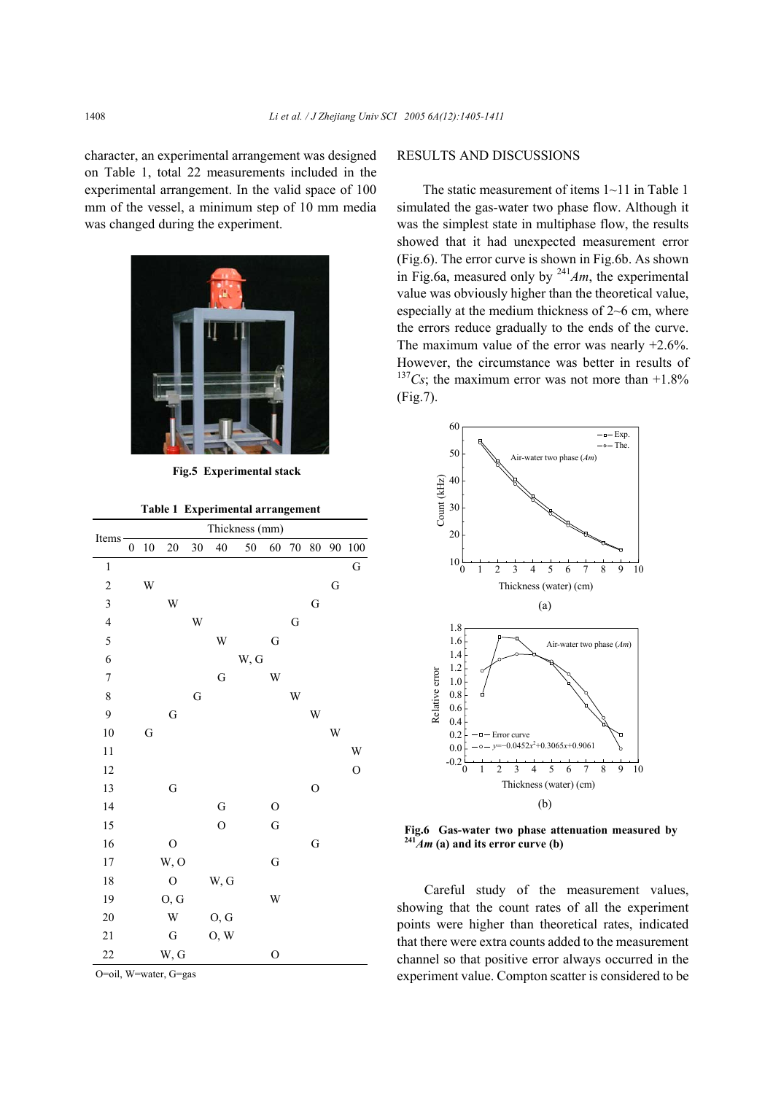character, an experimental arrangement was designed on Table 1, total 22 measurements included in the experimental arrangement. In the valid space of 100 mm of the vessel, a minimum step of 10 mm media was changed during the experiment.



**Fig.5 Experimental stack** 

|  | Table 1 Experimental arrangement |  |
|--|----------------------------------|--|
|--|----------------------------------|--|

|                          | Thickness (mm)   |        |                |    |                |      |               |    |               |    |                |
|--------------------------|------------------|--------|----------------|----|----------------|------|---------------|----|---------------|----|----------------|
| Items                    | $\boldsymbol{0}$ | $10\,$ | 20             | 30 | 40             | 50   | 60            | 70 | 80            | 90 | $100\,$        |
| $\,1$                    |                  |        |                |    |                |      |               |    |               |    | $\mathbf G$    |
| $\overline{\mathbf{c}}$  |                  | W      |                |    |                |      |               |    |               | G  |                |
| $\overline{\mathbf{3}}$  |                  |        | W              |    |                |      |               |    | G             |    |                |
| $\overline{\mathcal{L}}$ |                  |        |                | W  |                |      |               | G  |               |    |                |
| 5                        |                  |        |                |    | W              |      | G             |    |               |    |                |
| 6                        |                  |        |                |    |                | W, G |               |    |               |    |                |
| $\overline{7}$           |                  |        |                |    | G              |      | W             |    |               |    |                |
| 8                        |                  |        |                | G  |                |      |               | W  |               |    |                |
| 9                        |                  |        | G              |    |                |      |               |    | W             |    |                |
| 10                       |                  | G      |                |    |                |      |               |    |               | W  |                |
| 11                       |                  |        |                |    |                |      |               |    |               |    | W              |
| 12                       |                  |        |                |    |                |      |               |    |               |    | $\overline{O}$ |
| 13                       |                  |        | G              |    |                |      |               |    | $\mathcal{O}$ |    |                |
| 14                       |                  |        |                |    | G              |      | $\mathcal{O}$ |    |               |    |                |
| 15                       |                  |        |                |    | $\overline{O}$ |      | G             |    |               |    |                |
| 16                       |                  |        | $\overline{O}$ |    |                |      |               |    | ${\bf G}$     |    |                |
| 17                       |                  |        | W, O           |    |                |      | G             |    |               |    |                |
| 18                       |                  |        | $\mathcal{O}$  |    | W, G           |      |               |    |               |    |                |
| 19                       |                  |        | O, G           |    |                |      | W             |    |               |    |                |
| 20                       |                  |        | W              |    | O, G           |      |               |    |               |    |                |
| 21                       |                  |        | G              |    | O, W           |      |               |    |               |    |                |
| 22                       |                  |        | W, G           |    |                |      | $\mathcal{O}$ |    |               |    |                |

O=oil, W=water, G=gas

## RESULTS AND DISCUSSIONS

The static measurement of items 1~11 in Table 1 simulated the gas-water two phase flow. Although it was the simplest state in multiphase flow, the results showed that it had unexpected measurement error (Fig.6). The error curve is shown in Fig.6b. As shown in Fig.6a, measured only by  $241$ *Am*, the experimental value was obviously higher than the theoretical value, especially at the medium thickness of 2~6 cm, where the errors reduce gradually to the ends of the curve. The maximum value of the error was nearly  $+2.6\%$ . However, the circumstance was better in results of  $137Cs$ ; the maximum error was not more than  $+1.8\%$ (Fig.7).



**Fig.6 Gas-water two phase attenuation measured by**   $241$ *Am* (a) and its error curve (b)

Careful study of the measurement values, showing that the count rates of all the experiment points were higher than theoretical rates, indicated that there were extra counts added to the measurement channel so that positive error always occurred in the experiment value. Compton scatter is considered to be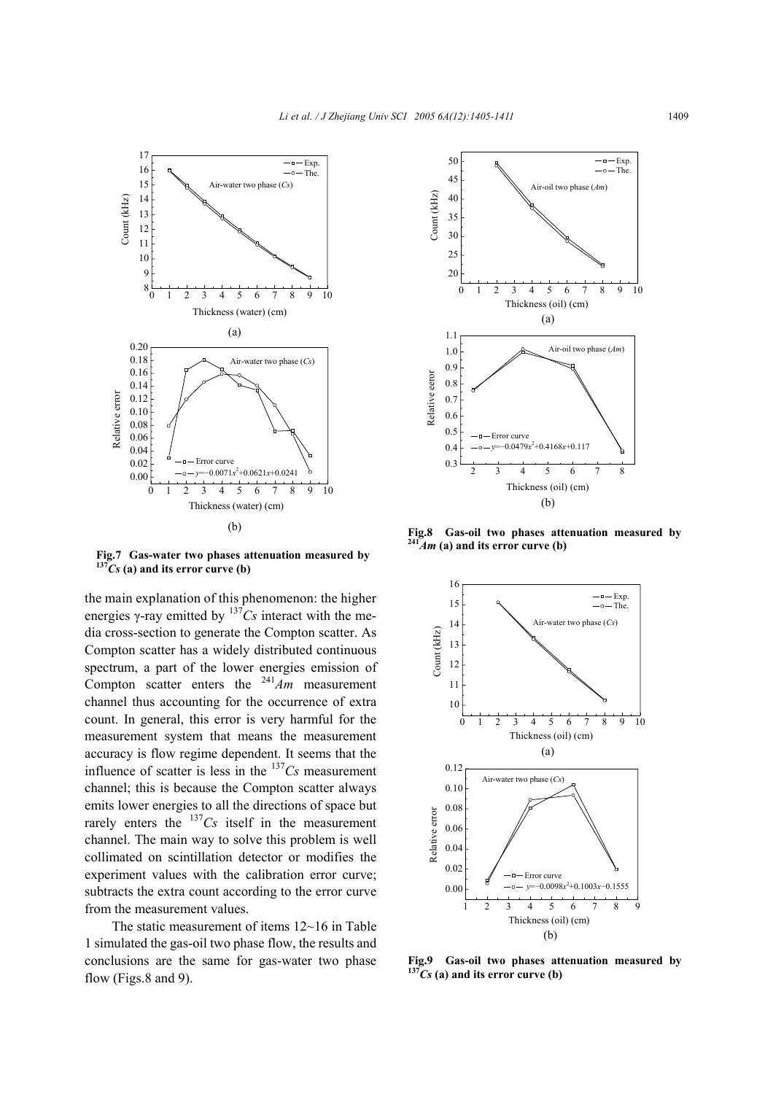

**Fig.7 Gas-water two phases attenuation measured by**   $137<sup>2</sup>Cs$  (a) and its error curve (b)

the main explanation of this phenomenon: the higher energies  $\gamma$ -ray emitted by  $137Cs$  interact with the media cross-section to generate the Compton scatter. As Compton scatter has a widely distributed continuous spectrum, a part of the lower energies emission of Compton scatter enters the <sup>241</sup>*Am* measurement channel thus accounting for the occurrence of extra count. In general, this error is very harmful for the measurement system that means the measurement accuracy is flow regime dependent. It seems that the influence of scatter is less in the <sup>137</sup>*Cs* measurement channel; this is because the Compton scatter always emits lower energies to all the directions of space but rarely enters the  $137Cs$  itself in the measurement channel. The main way to solve this problem is well collimated on scintillation detector or modifies the experiment values with the calibration error curve; subtracts the extra count according to the error curve from the measurement values.

The static measurement of items 12~16 in Table 1 simulated the gas-oil two phase flow, the results and conclusions are the same for gas-water two phase flow (Figs.8 and 9).



**Fig.8 Gas-oil two phases attenuation measured by 241***Am* **(a) and its error curve (b)** 



**Fig.9 Gas-oil two phases attenuation measured by 137***Cs* **(a) and its error curve (b)**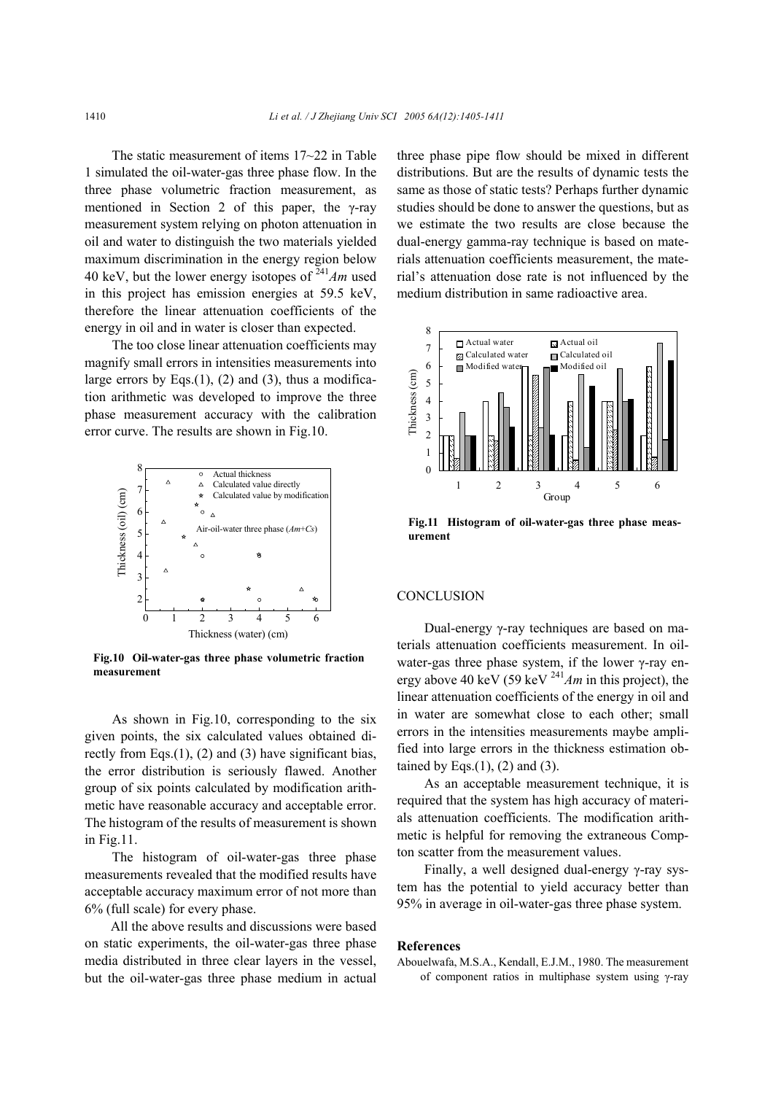The static measurement of items 17~22 in Table 1 simulated the oil-water-gas three phase flow. In the three phase volumetric fraction measurement, as mentioned in Section 2 of this paper, the γ-ray measurement system relying on photon attenuation in oil and water to distinguish the two materials yielded maximum discrimination in the energy region below 40 keV, but the lower energy isotopes of <sup>241</sup>*Am* used in this project has emission energies at 59.5 keV, therefore the linear attenuation coefficients of the energy in oil and in water is closer than expected.

The too close linear attenuation coefficients may magnify small errors in intensities measurements into large errors by Eqs. $(1)$ ,  $(2)$  and  $(3)$ , thus a modification arithmetic was developed to improve the three phase measurement accuracy with the calibration error curve. The results are shown in Fig.10.



**Fig.10 Oil-water-gas three phase volumetric fraction measurement** 

As shown in Fig.10, corresponding to the six given points, the six calculated values obtained directly from Eqs.(1), (2) and (3) have significant bias, the error distribution is seriously flawed. Another group of six points calculated by modification arithmetic have reasonable accuracy and acceptable error. The histogram of the results of measurement is shown in Fig.11.

The histogram of oil-water-gas three phase measurements revealed that the modified results have acceptable accuracy maximum error of not more than 6% (full scale) for every phase.

All the above results and discussions were based on static experiments, the oil-water-gas three phase media distributed in three clear layers in the vessel, but the oil-water-gas three phase medium in actual

three phase pipe flow should be mixed in different distributions. But are the results of dynamic tests the same as those of static tests? Perhaps further dynamic studies should be done to answer the questions, but as we estimate the two results are close because the dual-energy gamma-ray technique is based on materials attenuation coefficients measurement, the material's attenuation dose rate is not influenced by the medium distribution in same radioactive area.



**Fig.11 Histogram of oil-water-gas three phase measurement** 

## **CONCLUSION**

Dual-energy γ-ray techniques are based on materials attenuation coefficients measurement. In oilwater-gas three phase system, if the lower γ-ray energy above 40 keV (59 keV 241*Am* in this project), the linear attenuation coefficients of the energy in oil and in water are somewhat close to each other; small errors in the intensities measurements maybe amplified into large errors in the thickness estimation obtained by Eqs. $(1)$ ,  $(2)$  and  $(3)$ .

As an acceptable measurement technique, it is required that the system has high accuracy of materials attenuation coefficients. The modification arithmetic is helpful for removing the extraneous Compton scatter from the measurement values.

Finally, a well designed dual-energy γ-ray system has the potential to yield accuracy better than 95% in average in oil-water-gas three phase system.

#### **References**

Abouelwafa, M.S.A., Kendall, E.J.M., 1980. The measurement of component ratios in multiphase system using γ-ray